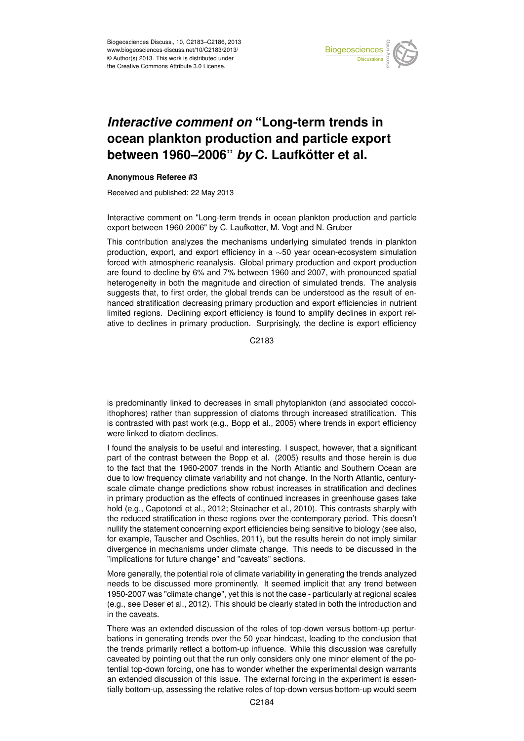

## Earth System ocean plankton production and particle export '<br>ti  $\mathbf 1$ *Interactive comment on* "Long-term trends in between 1960–2006" *by* C. Laufkötter et al.

## Instrumentation **Anonymous Referee #3**

Received and published: 22 May 2013

Interactive comment on "Long-term trends in ocean plankton production and particle export between 1960-2006" by C. Laufkotter, M. Vogt and N. Gruber ר<br>O  $\mathbf{r}$ 

production, export, and export efficiency in a ~50 year ocean-ecosystem simulation forced with atmospheric reanalysis. Global primary production and export production are found to decline by 6% and 7% between 1960 and 2007, with pronounced spatial y<br>N n<br>open<br>o heterogeneity in both the magnitude and direction of simulated trends. The analysis hanced stratification decreasing primary production and export efficiencies in nutrient u'<br>/<br>n ui<br>V<br>K limited regions. Declining export efficiency is found to amplify declines in export rel-This contribution analyzes the mechanisms underlying simulated trends in plankton suggests that, to first order, the global trends can be understood as the result of enative to declines in primary production. Surprisingly, the decline is export efficiency

> C<br>C C2183

 $\overline{\phantom{a}}$  $\overline{a}$ is predominantly linked to decreases in small phytoplankton (and associated coccolithophores) rather than suppression of diatoms through increased stratification. This is contrasted with past work (e.g., Bopp et al., 2005) where trends in export efficiency were linked to diatom declines.

I found the analysis to be useful and interesting. I suspect, however, that a significant part of the contrast between the Bopp et al. (2005) results and those herein is due to the fact that the 1960-2007 trends in the North Atlantic and Southern Ocean are due to low frequency climate variability and not change. In the North Atlantic, centuryscale climate change predictions show robust increases in stratification and declines in primary production as the effects of continued increases in greenhouse gases take hold (e.g., Capotondi et al., 2012; Steinacher et al., 2010). This contrasts sharply with the reduced stratification in these regions over the contemporary period. This doesn't nullify the statement concerning export efficiencies being sensitive to biology (see also, for example, Tauscher and Oschlies, 2011), but the results herein do not imply similar divergence in mechanisms under climate change. This needs to be discussed in the "implications for future change" and "caveats" sections.

More generally, the potential role of climate variability in generating the trends analyzed needs to be discussed more prominently. It seemed implicit that any trend between 1950-2007 was "climate change", yet this is not the case - particularly at regional scales (e.g., see Deser et al., 2012). This should be clearly stated in both the introduction and in the caveats.

There was an extended discussion of the roles of top-down versus bottom-up perturbations in generating trends over the 50 year hindcast, leading to the conclusion that the trends primarily reflect a bottom-up influence. While this discussion was carefully caveated by pointing out that the run only considers only one minor element of the potential top-down forcing, one has to wonder whether the experimental design warrants an extended discussion of this issue. The external forcing in the experiment is essentially bottom-up, assessing the relative roles of top-down versus bottom-up would seem